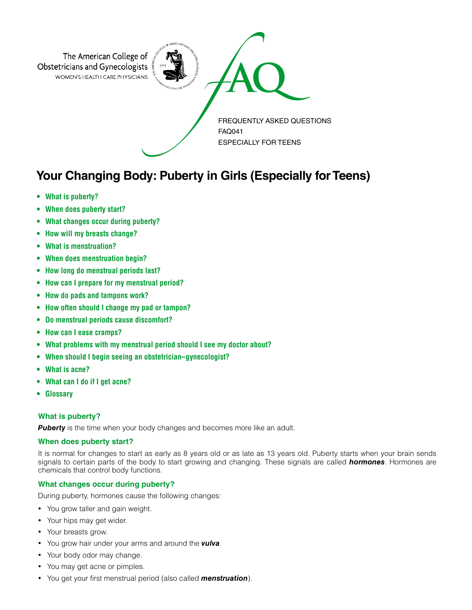

# **Your Changing Body: Puberty in Girls (Especially for Teens)**

- **• What is puberty?**
- **• When does puberty start?**
- **• What changes occur during puberty?**
- **• How will my breasts change?**
- **• What is menstruation?**
- **• When does menstruation begin?**
- **• How long do menstrual periods last?**
- **• How can I prepare for my menstrual period?**
- **• How do pads and tampons work?**
- **• How often should I change my pad or tampon?**
- **• Do menstrual periods cause discomfort?**
- **• How can I ease cramps?**
- **• What problems with my menstrual period should I see my doctor about?**
- **• When should I begin seeing an obstetrician–gynecologist?**
- **• What is acne?**
- **• What can I do if I get acne?**
- **• Glossary**

# **What is puberty?**

**Puberty** is the time when your body changes and becomes more like an adult.

# **When does puberty start?**

It is normal for changes to start as early as 8 years old or as late as 13 years old. Puberty starts when your brain sends signals to certain parts of the body to start growing and changing. These signals are called *hormones*. Hormones are chemicals that control body functions.

# **What changes occur during puberty?**

During puberty, hormones cause the following changes:

- You grow taller and gain weight.
- Your hips may get wider.
- Your breasts grow.
- You grow hair under your arms and around the *vulva*.
- Your body odor may change.
- You may get acne or pimples.
- You get your first menstrual period (also called *menstruation*).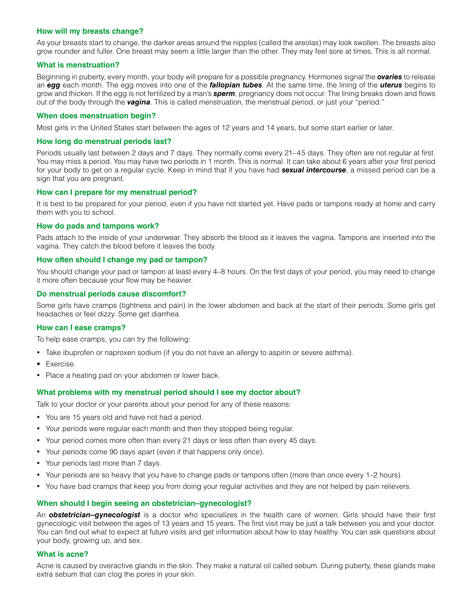## **How will my breasts change?**

As your breasts start to change, the darker areas around the nipples (called the areolas) may look swollen. The breasts also grow rounder and fuller. One breast may seem a little larger than the other. They may feel sore at times. This is all normal.

### **What is menstruation?**

Beginning in puberty, every month, your body will prepare for a possible pregnancy. Hormones signal the *ovaries* to release an *egg* each month. The egg moves into one of the *fallopian tubes*. At the same time, the lining of the *uterus* begins to grow and thicken. If the egg is not fertilized by a man's *sperm*, pregnancy does not occur. The lining breaks down and flows out of the body through the *vagina*. This is called menstruation, the menstrual period, or just your "period."

#### **When does menstruation begin?**

Most girls in the United States start between the ages of 12 years and 14 years, but some start earlier or later.

#### **How long do menstrual periods last?**

Periods usually last between 2 days and 7 days. They normally come every 21–45 days. They often are not regular at first. You may miss a period. You may have two periods in 1 month. This is normal. It can take about 6 years after your first period for your body to get on a regular cycle. Keep in mind that if you have had *sexual intercourse*, a missed period can be a sign that you are pregnant.

#### **How can I prepare for my menstrual period?**

It is best to be prepared for your period, even if you have not started yet. Have pads or tampons ready at home and carry them with you to school.

#### **How do pads and tampons work?**

Pads attach to the inside of your underwear. They absorb the blood as it leaves the vagina. Tampons are inserted into the vagina. They catch the blood before it leaves the body.

### **How often should I change my pad or tampon?**

You should change your pad or tampon at least every 4–8 hours. On the first days of your period, you may need to change it more often because your flow may be heavier.

### **Do menstrual periods cause discomfort?**

Some girls have cramps (tightness and pain) in the lower abdomen and back at the start of their periods. Some girls get headaches or feel dizzy. Some get diarrhea.

#### **How can I ease cramps?**

To help ease cramps, you can try the following:

- Take ibuprofen or naproxen sodium (if you do not have an allergy to aspirin or severe asthma).
- Exercise.
- Place a heating pad on your abdomen or lower back.

# **What problems with my menstrual period should I see my doctor about?**

Talk to your doctor or your parents about your period for any of these reasons:

- You are 15 years old and have not had a period.
- Your periods were regular each month and then they stopped being regular.
- • Your period comes more often than every 21 days or less often than every 45 days.
- Your periods come 90 days apart (even if that happens only once).
- Your periods last more than 7 days.
- Your periods are so heavy that you have to change pads or tampons often (more than once every 1–2 hours).
- • You have bad cramps that keep you from doing your regular activities and they are not helped by pain relievers.

# **When should I begin seeing an obstetrician–gynecologist?**

An *obstetrician–gynecologist* is a doctor who specializes in the health care of women. Girls should have their first gynecologic visit between the ages of 13 years and 15 years. The first visit may be just a talk between you and your doctor. You can find out what to expect at future visits and get information about how to stay healthy. You can ask questions about your body, growing up, and sex.

#### **What is acne?**

Acne is caused by overactive glands in the skin. They make a natural oil called sebum. During puberty, these glands make extra sebum that can clog the pores in your skin.